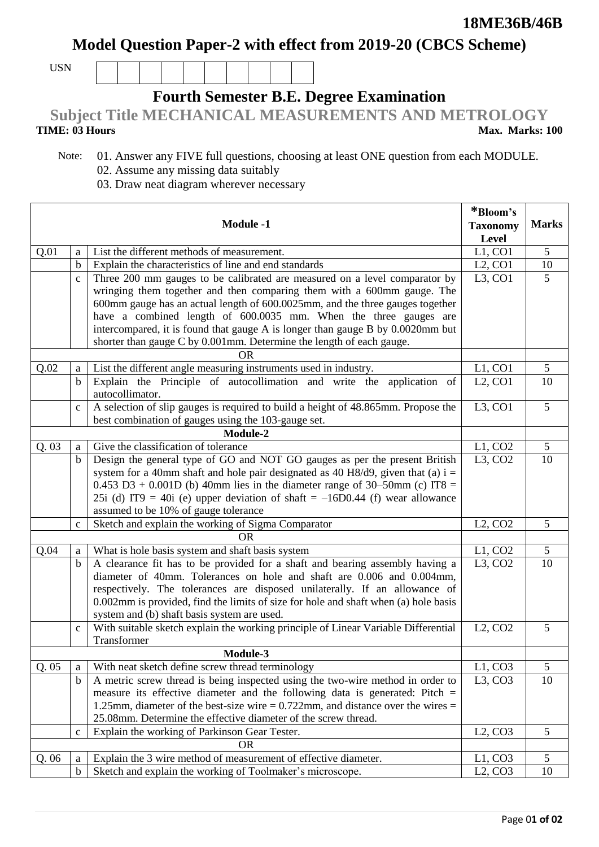**Model Question Paper-2 with effect from 2019-20 (CBCS Scheme)**

USN

## **Fourth Semester B.E. Degree Examination**

**Subject Title MECHANICAL MEASUREMENTS AND METROLOGY**

## **TIME: 03 Hours**

**Max. Marks: 100**

┑

- Note: 01. Answer any FIVE full questions, choosing at least ONE question from each MODULE. 02. Assume any missing data suitably
	- 03. Draw neat diagram wherever necessary

| <b>Module -1</b> |              |                                                                                                                                    | *Bloom's                         |                |
|------------------|--------------|------------------------------------------------------------------------------------------------------------------------------------|----------------------------------|----------------|
|                  |              |                                                                                                                                    | <b>Taxonomy</b>                  | <b>Marks</b>   |
|                  |              |                                                                                                                                    | Level                            |                |
| Q.01             | a            | List the different methods of measurement.                                                                                         | L1, CO1                          | 5              |
|                  | $\mathbf b$  | Explain the characteristics of line and end standards                                                                              | $L2$ , CO1                       | 10             |
|                  | $\mathbf{C}$ | Three 200 mm gauges to be calibrated are measured on a level comparator by                                                         | $L3$ , CO1                       | 5              |
|                  |              | wringing them together and then comparing them with a 600mm gauge. The                                                             |                                  |                |
|                  |              | 600mm gauge has an actual length of 600.0025mm, and the three gauges together                                                      |                                  |                |
|                  |              | have a combined length of 600.0035 mm. When the three gauges are                                                                   |                                  |                |
|                  |              | intercompared, it is found that gauge A is longer than gauge B by 0.0020mm but                                                     |                                  |                |
|                  |              | shorter than gauge C by 0.001mm. Determine the length of each gauge.                                                               |                                  |                |
|                  | <b>OR</b>    |                                                                                                                                    |                                  |                |
| Q.02             | a            | List the different angle measuring instruments used in industry.                                                                   | L1, CO1                          | 5              |
|                  | $\mathbf b$  | Explain the Principle of autocollimation and write the application of                                                              | $L2$ , CO1                       | 10             |
|                  |              | autocollimator.                                                                                                                    |                                  |                |
|                  | $\mathbf{C}$ | A selection of slip gauges is required to build a height of 48.865mm. Propose the                                                  | L3, CO1                          | $\overline{5}$ |
|                  |              | best combination of gauges using the 103-gauge set.                                                                                |                                  |                |
|                  |              | Module-2                                                                                                                           |                                  |                |
| Q.03             | a            | Give the classification of tolerance                                                                                               | L1, CO2                          | 5              |
|                  | $\mathbf b$  | Design the general type of GO and NOT GO gauges as per the present British                                                         | L3, CO2                          | 10             |
|                  |              | system for a 40mm shaft and hole pair designated as 40 H8/d9, given that (a) $i =$                                                 |                                  |                |
|                  |              | 0.453 D3 + 0.001D (b) 40mm lies in the diameter range of 30–50mm (c) IT8 =                                                         |                                  |                |
|                  |              | 25i (d) IT9 = 40i (e) upper deviation of shaft = $-16D0.44$ (f) wear allowance                                                     |                                  |                |
|                  |              | assumed to be 10% of gauge tolerance                                                                                               |                                  |                |
|                  | $\mathbf c$  | Sketch and explain the working of Sigma Comparator                                                                                 | L2, CO2                          | 5              |
|                  |              | <b>OR</b>                                                                                                                          |                                  |                |
| Q.04             | a            | What is hole basis system and shaft basis system                                                                                   | L1, CO2                          | 5              |
|                  | $\mathbf b$  | A clearance fit has to be provided for a shaft and bearing assembly having a                                                       | $L3$ , CO <sub>2</sub>           | 10             |
|                  |              | diameter of 40mm. Tolerances on hole and shaft are 0.006 and 0.004mm,                                                              |                                  |                |
|                  |              | respectively. The tolerances are disposed unilaterally. If an allowance of                                                         |                                  |                |
|                  |              | 0.002mm is provided, find the limits of size for hole and shaft when (a) hole basis<br>system and (b) shaft basis system are used. |                                  |                |
|                  |              | With suitable sketch explain the working principle of Linear Variable Differential                                                 | L2, CO2                          | 5              |
|                  | $\mathbf{C}$ | Transformer                                                                                                                        |                                  |                |
|                  |              | Module-3                                                                                                                           |                                  |                |
| Q.05             | a            | With neat sketch define screw thread terminology                                                                                   | L1, CO3                          | 5              |
|                  | $\mathbf b$  | A metric screw thread is being inspected using the two-wire method in order to                                                     | $L3$ , CO <sub>3</sub>           | 10             |
|                  |              | measure its effective diameter and the following data is generated: Pitch $=$                                                      |                                  |                |
|                  |              | 1.25mm, diameter of the best-size wire $= 0.722$ mm, and distance over the wires $=$                                               |                                  |                |
|                  |              | 25.08mm. Determine the effective diameter of the screw thread.                                                                     |                                  |                |
|                  | $\mathbf{C}$ | Explain the working of Parkinson Gear Tester.                                                                                      | L2, CO3                          | 5              |
|                  |              | <b>OR</b>                                                                                                                          |                                  |                |
| Q.06             | a            | Explain the 3 wire method of measurement of effective diameter.                                                                    | L1, CO3                          | 5              |
|                  | $\mathbf b$  | Sketch and explain the working of Toolmaker's microscope.                                                                          | L <sub>2</sub> , CO <sub>3</sub> | 10             |
|                  |              |                                                                                                                                    |                                  |                |